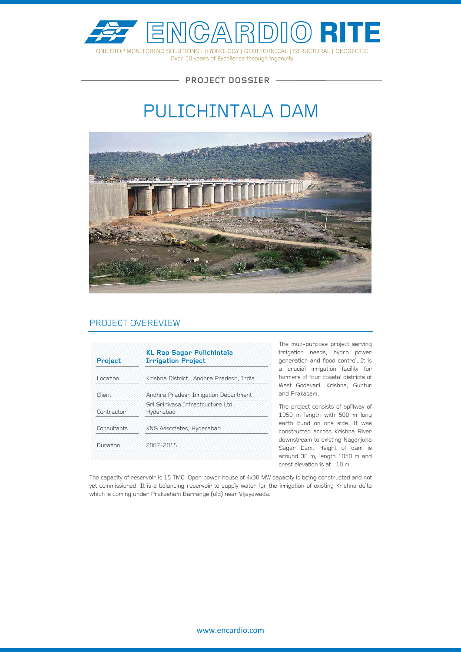

Over 50 years of Excellence through ingenuity

**PROJECT DOSSIER**

# PULICHINTALA DAM



## PROJECT OVEREVIEW

| Project     | <b>KL Rao Sagar Pulichintala</b><br><b>Irrigation Project</b> |
|-------------|---------------------------------------------------------------|
| Location    | Krishna District, Andhra Pradesh, India                       |
| Client      | Andhra Pradesh Irrigation Department                          |
| Contractor  | Sri Srinivasa Infrastructure Ltd.,<br>Hyderabad               |
| Consultants | KNS Associates, Hyderabad                                     |
| Duration    | 2007-2015                                                     |

The muti-purpose project serving irrigation needs, hydro power generation and flood control. It is a crucial irrigation facility for farmers of four coastal districts of West Godavari, Krishna, Guntur and Prakasam.

The project consists of spillway of 1050 m length with 500 m long earth bund on one side. It was constructed across Krishna River downstream to existing Nagarjuna Sagar Dam. Height of dam is around 30 m, length 1050 m and crest elevation is at 10 m.

The capacity of reservoir is 15 TMC. Open power house of 4x30 MW capacity is being constructed and not yet commissioned. It is a balancing reservoir to supply water for the irrigation of existing Krishna delta which is coming under Prakasham Barrange (old) near Vijayawada.